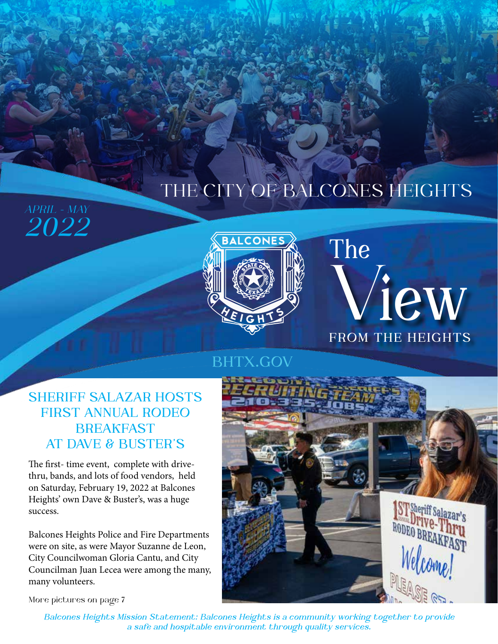## THE CITY OF BALCONES HEIGHTS



# **FROM THE HEIGHTS** V**iew The**

### **BHTX.GOV**

### **SHERIFF SALAZAR HOSTS FIRST ANNUAL RODEO BREAKFAST AT DAVE & BUSTER'S**

The first- time event, complete with drivethru, bands, and lots of food vendors, held on Saturday, February 19, 2022 at Balcones Heights' own Dave & Buster's, was a huge success.

Balcones Heights Police and Fire Departments were on site, as were Mayor Suzanne de Leon, City Councilwoman Gloria Cantu, and City Councilman Juan Lecea were among the many, many volunteers.



More pictures on page 7

*APRIL - MAY*

*2022*

*Balcones Heights Mission Statement: Balcones Heights is a community working together to provide a safe and hospitable environment through quality services.*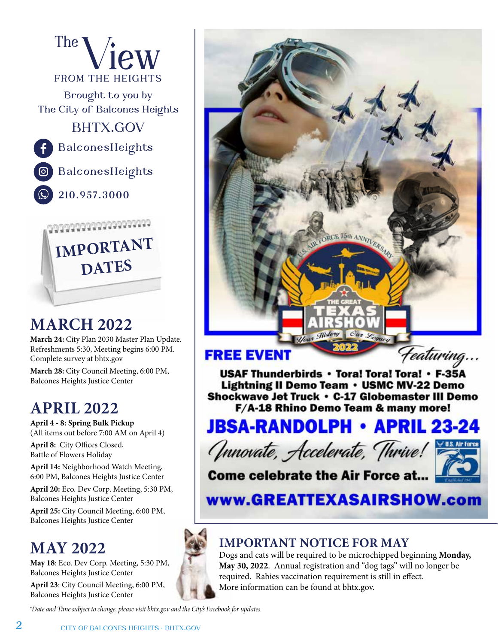



### **MARCH 2022**

**March 24:** City Plan 2030 Master Plan Update. Refreshments 5:30, Meeting begins 6:00 PM. Complete survey at bhtx.gov

**March 28:** City Council Meeting, 6:00 PM, Balcones Heights Justice Center

### **APRIL 2022**

**April 4 - 8: Spring Bulk Pickup** (All items out before 7:00 AM on April 4)

**April 8:** City Offices Closed, Battle of Flowers Holiday

**April 14:** Neighborhood Watch Meeting, 6:00 PM, Balcones Heights Justice Center

**April 20:** Eco. Dev Corp. Meeting, 5:30 PM, Balcones Heights Justice Center

**April 25:** City Council Meeting, 6:00 PM, Balcones Heights Justice Center

## **MAY 2022**

**May 18**: Eco. Dev Corp. Meeting, 5:30 PM, Balcones Heights Justice Center

**April 23**: City Council Meeting, 6:00 PM, Balcones Heights Justice Center

*\*Date and Time subject to change, please visit bhtx.gov and the City's Facebook for updates.*



#### **FREE EVENT**

Featuring... USAF Thunderbirds • Tora! Tora! Tora! • F-35A Lightning II Demo Team • USMC MV-22 Demo Shockwave Jet Truck • C-17 Globemaster III Demo F/A-18 Rhino Demo Team & many more!

## **JBSA-RANDOLPH • APRIL 23-24**





**Come celebrate the Air Force at...** 

Your Hist

www.GREATTEXASAIRSHOW.com

#### **IMPORTANT NOTICE FOR MAY**

Dogs and cats will be required to be microchipped beginning **Monday, May 30, 2022**. Annual registration and "dog tags" will no longer be required. Rabies vaccination requirement is still in effect. More information can be found at bhtx.gov.

**2 CITY OF BALCONES HEIGHTS • BHTX.GOV**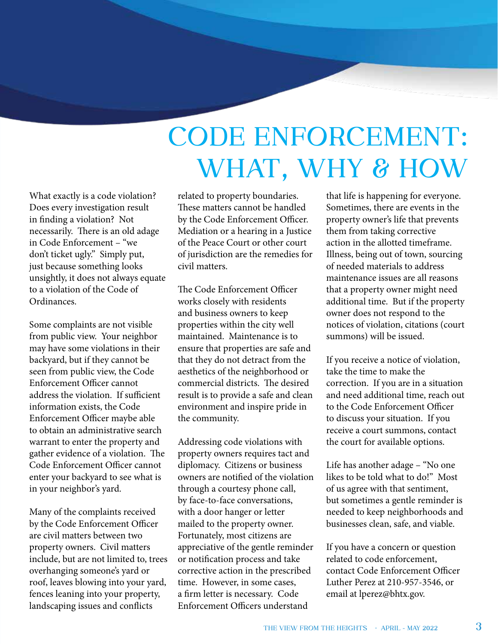# **CODE ENFORCEMENT: WHAT, WHY & HOW**

What exactly is a code violation? Does every investigation result in finding a violation? Not necessarily. There is an old adage in Code Enforcement – "we don't ticket ugly." Simply put, just because something looks unsightly, it does not always equate to a violation of the Code of Ordinances.

Some complaints are not visible from public view. Your neighbor may have some violations in their backyard, but if they cannot be seen from public view, the Code Enforcement Officer cannot address the violation. If sufficient information exists, the Code Enforcement Officer maybe able to obtain an administrative search warrant to enter the property and gather evidence of a violation. The Code Enforcement Officer cannot enter your backyard to see what is in your neighbor's yard.

Many of the complaints received by the Code Enforcement Officer are civil matters between two property owners. Civil matters include, but are not limited to, trees overhanging someone's yard or roof, leaves blowing into your yard, fences leaning into your property, landscaping issues and conflicts

related to property boundaries. These matters cannot be handled by the Code Enforcement Officer. Mediation or a hearing in a Justice of the Peace Court or other court of jurisdiction are the remedies for civil matters.

The Code Enforcement Officer works closely with residents and business owners to keep properties within the city well maintained. Maintenance is to ensure that properties are safe and that they do not detract from the aesthetics of the neighborhood or commercial districts. The desired result is to provide a safe and clean environment and inspire pride in the community.

Addressing code violations with property owners requires tact and diplomacy. Citizens or business owners are notified of the violation through a courtesy phone call, by face-to-face conversations, with a door hanger or letter mailed to the property owner. Fortunately, most citizens are appreciative of the gentle reminder or notification process and take corrective action in the prescribed time. However, in some cases, a firm letter is necessary. Code Enforcement Officers understand

that life is happening for everyone. Sometimes, there are events in the property owner's life that prevents them from taking corrective action in the allotted timeframe. Illness, being out of town, sourcing of needed materials to address maintenance issues are all reasons that a property owner might need additional time. But if the property owner does not respond to the notices of violation, citations (court summons) will be issued.

If you receive a notice of violation, take the time to make the correction. If you are in a situation and need additional time, reach out to the Code Enforcement Officer to discuss your situation. If you receive a court summons, contact the court for available options.

Life has another adage – "No one likes to be told what to do!" Most of us agree with that sentiment, but sometimes a gentle reminder is needed to keep neighborhoods and businesses clean, safe, and viable.

If you have a concern or question related to code enforcement, contact Code Enforcement Officer Luther Perez at 210-957-3546, or email at lperez@bhtx.gov.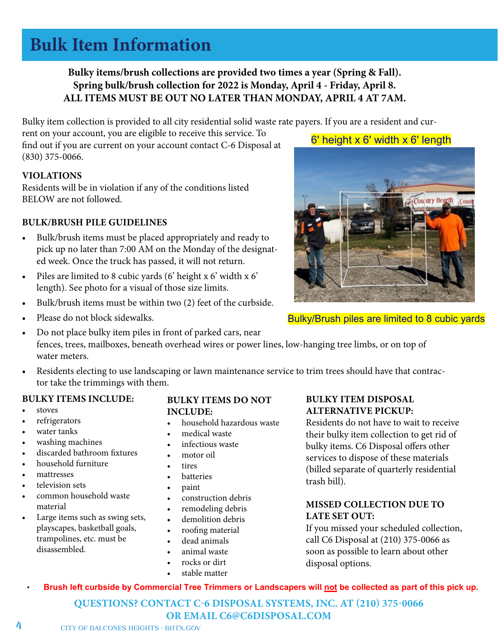#### **Bulk Item Information** Bulky items include stoves, refrigerators, water tanks, washing machines, discarded bathroom fixtures, household furniture, mattresses,

television sets, and other bulky waste materials commonly found at a residence. Items such as swing sets, plays capes, basketball goals, Bulky items/brush collections are provided two times a year (Spring & Fall). **BULKY ITEMS DO NOT INCLUDE:**  ALL ITEMS MUST BE OUT NO LATER THAN MONDAY, APRIL 4 AT 7AM. **Spring bulk/brush collection for 2022 is Monday, April 4 - Friday, April 8.** 

• **Brush left curbside by Commercial Tree Trimmers or Landscapers will not be collected as part of this pick up.** 

Bulky item collection is provided to all city residential solid waste rate payers. If you are a resident and cur-

**VIOLATIONS:**  rent on your account, you are eligible to receive this service. To find out if you are current on your account contact C-6 Disposal at demolition operations (830) 375-0066.

#### $VIOLATIONS$

 $\mathbf{P} = \mathbf{P} \cdot \mathbf{P} \cdot \mathbf{P} \cdot \mathbf{P} \cdot \mathbf{P} \cdot \mathbf{P} \cdot \mathbf{P} \cdot \mathbf{P} \cdot \mathbf{P} \cdot \mathbf{P} \cdot \mathbf{P} \cdot \mathbf{P} \cdot \mathbf{P} \cdot \mathbf{P} \cdot \mathbf{P} \cdot \mathbf{P} \cdot \mathbf{P} \cdot \mathbf{P} \cdot \mathbf{P} \cdot \mathbf{P} \cdot \mathbf{P} \cdot \mathbf{P} \cdot \mathbf{P} \cdot \mathbf{P} \cdot \mathbf{P} \cdot \mathbf{P} \cdot \mathbf{P$ Residents will be in violation if any of the conditions listed BELOW are not followed.

#### **BULK/BRUSH PILE GUIDELINES**

- Bulk/brush items must be placed appropriately and ready to **IMPORTANT DATES & INFORMATION** residential trash bill). ed week. Once the truck has passed, it will not return. pick up no later than 7:00 AM on the Monday of the designat-
- Piles are limited to 8 cubic yards (6' height x 6' width x 6' length). See photo for a visual of those size limits.
- Bulk/brush items must be within two (2) feet of the curbside.
	- Bulky/Brush piles are limited to 8 cubic yards **Spring Bulk/Brush Collection Monday April 4th thru Friday April 8th**  Please do not block sidewalks.
	- Do not place bulky item piles in front of parked cars, near fences, trees, mailboxes, beneath overhead wires or power lines, low-hanging tree limbs, or on top of water meters.
	- Residents electing to use landscaping or lawn maintenance service to trim trees should have that contractor take the trimmings with them.

#### **BULKY ITEMS INCLUDE:**

- stoves
- refrigerators
- water tanks
- washing machines
- discarded bathroom fixtures
- household furniture **indicated below for a visual of the services to for a visual of the size of the size of the size of the size of the size of the size of the size of the size of the size of the size of the size of**
- mattresses
- television sets
- common household waste material material **•** remodeling debris
- Large items such as swing sets, playscapes, basketball goals, trampolines, etc. must be **a dead animals** disassembled.

#### **BULKY ITEMS DO NOT INCLUDE:**

- refrigerators **and items must be set out out out out of the set out of the set of the schedule collection**. An average  $\bullet$  bousehold hazardous waste Residents do not have to
	- medical waste
	- infectious waste
	- motor oil
	- tires
	- batteries
	- paint
	- construction debris
	-
	- demolition debris
	- roofing material
	- dead animals
	- animal waste
	- rocks or dirt
	- stable matter

#### **BULKY ITEM DISPOSAL ALTERNATIVE PICKUP:**

Residents do not have to wait to receive their bulky item collection to get rid of washing machines **Place of the piles with the curbe of the curbe of the curbe of the curbe of the curbe discorded bathroom fixtures <b>are limited to bulky** items. C6 Disposal offers other services to dispose of these materials (billed separate of quarterly residential trash bill). relevision sets and maintenance contractors to use that contractors that contractors that contractors that contractors the trimmings of trimmings  $\frac{1}{\sqrt{2}}$  remove the trimmings of trimmings of trimmings of trimmings of

#### **MISSED COLLECTION DUE TO LATE SET OUT:**

If you missed your scheduled collection, • Do not place bulky item piles in front of parked cars, near fences, under trees, around mailboxes, beneath overhead wires or power call C6 Disposal at (210) 375-0066 as soon as possible to learn about other disposal options.  $\bullet$  because of  $\mathfrak{m}$  and  $\mathfrak{m}$  and  $\mathfrak{m}$  and  $\mathfrak{m}$  after  $\mathfrak{m}$  and  $\mathfrak{m}$  passed by  $\mathfrak{m}$  and  $\mathfrak{m}$  and  $\mathfrak{m}$  are  $\mathfrak{m}$  and  $\mathfrak{m}$  and  $\mathfrak{m}$  and  $\mathfrak{m}$  and  $\mathfrak{m}$  and

• **Brush left curbside by Commercial Tree Trimmers or Landscapers will not be collected as part of this pick up.** 

**QUESTIONS? CONTACT C-6 DISPOSAL SYSTEMS, INC. AT (210) 375-0066 OR EMAIL C6@C6DISPOSAL.COM** 

6' height x 6' width x 6' length

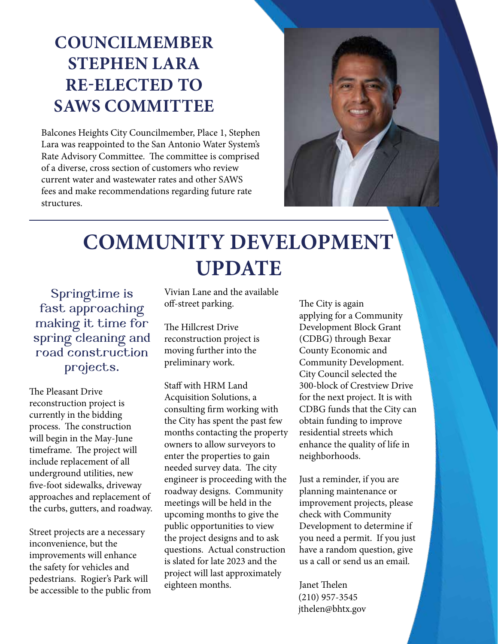## **COUNCILMEMBER STEPHEN LARA RE-ELECTED TO SAWS COMMITTEE**

Balcones Heights City Councilmember, Place 1, Stephen Lara was reappointed to the San Antonio Water System's Rate Advisory Committee. The committee is comprised of a diverse, cross section of customers who review current water and wastewater rates and other SAWS fees and make recommendations regarding future rate structures.



## **COMMUNITY DEVELOPMENT UPDATE**

**Springtime is fast approaching making it time for spring cleaning and road construction projects.**

The Pleasant Drive reconstruction project is currently in the bidding process. The construction will begin in the May-June timeframe. The project will include replacement of all underground utilities, new five-foot sidewalks, driveway approaches and replacement of the curbs, gutters, and roadway.

Street projects are a necessary inconvenience, but the improvements will enhance the safety for vehicles and pedestrians. Rogier's Park will be accessible to the public from Vivian Lane and the available off-street parking.

The Hillcrest Drive reconstruction project is moving further into the preliminary work.

Staff with HRM Land Acquisition Solutions, a consulting firm working with the City has spent the past few months contacting the property owners to allow surveyors to enter the properties to gain needed survey data. The city engineer is proceeding with the roadway designs. Community meetings will be held in the upcoming months to give the public opportunities to view the project designs and to ask questions. Actual construction is slated for late 2023 and the project will last approximately eighteen months.

The City is again applying for a Community Development Block Grant (CDBG) through Bexar County Economic and Community Development. City Council selected the 300-block of Crestview Drive for the next project. It is with CDBG funds that the City can obtain funding to improve residential streets which enhance the quality of life in neighborhoods.

Just a reminder, if you are planning maintenance or improvement projects, please check with Community Development to determine if you need a permit. If you just have a random question, give us a call or send us an email.

Janet Thelen (210) 957-3545 jthelen@bhtx.gov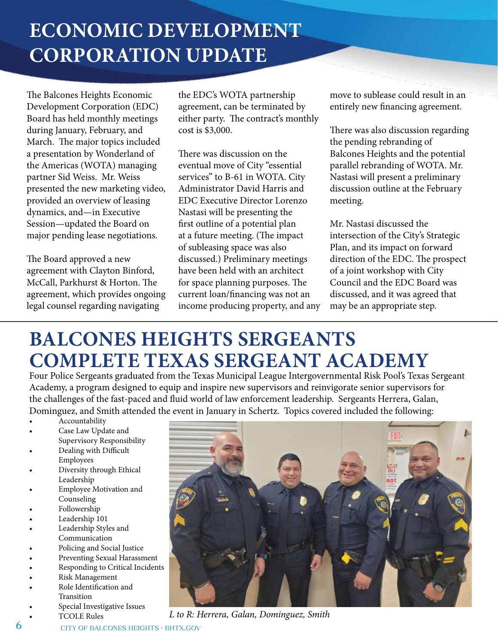## **ECONOMIC DEVELOPMENT CORPORATION UPDATE**

The Balcones Heights Economic Development Corporation (EDC) Board has held monthly meetings during January, February, and March. The major topics included a presentation by Wonderland of the Americas (WOTA) managing partner Sid Weiss. Mr. Weiss presented the new marketing video, provided an overview of leasing dynamics, and—in Executive Session—updated the Board on major pending lease negotiations.

The Board approved a new agreement with Clayton Binford, McCall, Parkhurst & Horton. The agreement, which provides ongoing legal counsel regarding navigating

the EDC's WOTA partnership agreement, can be terminated by either party. The contract's monthly cost is \$3,000.

There was discussion on the eventual move of City "essential services" to B-61 in WOTA. City Administrator David Harris and EDC Executive Director Lorenzo Nastasi will be presenting the first outline of a potential plan at a future meeting. (The impact of subleasing space was also discussed.) Preliminary meetings have been held with an architect for space planning purposes. The current loan/financing was not an income producing property, and any move to sublease could result in an entirely new financing agreement.

There was also discussion regarding the pending rebranding of Balcones Heights and the potential parallel rebranding of WOTA. Mr. Nastasi will present a preliminary discussion outline at the February meeting.

Mr. Nastasi discussed the intersection of the City's Strategic Plan, and its impact on forward direction of the EDC. The prospect of a joint workshop with City Council and the EDC Board was discussed, and it was agreed that may be an appropriate step.

## **BALCONES HEIGHTS SERGEANTS COMPLETE TEXAS SERGEANT ACADEMY**

Four Police Sergeants graduated from the Texas Municipal League Intergovernmental Risk Pool's Texas Sergeant Academy, a program designed to equip and inspire new supervisors and reinvigorate senior supervisors for the challenges of the fast-paced and fluid world of law enforcement leadership. Sergeants Herrera, Galan, Dominguez, and Smith attended the event in January in Schertz. Topics covered included the following:

- **Accountability**
- Case Law Update and Supervisory Responsibility
- Dealing with Difficult Employees
- Diversity through Ethical Leadership
- Employee Motivation and Counseling
- Followership
- Leadership 101
- Leadership Styles and Communication
- Policing and Social Justice
- Preventing Sexual Harassment
- Responding to Critical Incidents
- Risk Management
- Role Identification and
- Transition
- Special Investigative Issues



• TCOLE Rules *L to R: Herrera, Galan, Dominguez, Smith*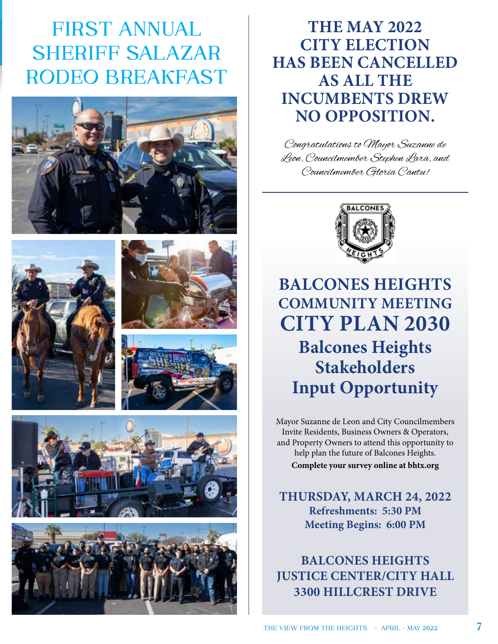## **FIRST ANNUAL SHERIFF SALAZAR RODEO BREAKFAST**













### **THE MAY 2022 CITY ELECTION HAS BEEN CANCELLED AS ALL THE INCUMBENTS DREW NO OPPOSITION.**

Congratulations to Mayor Suzanne de Leon, Councilmember Stephen Lara, and Councilmember Gloria Cantu!



## **BALCONES HEIGHTS COMMUNITY MEETING CITY PLAN 2030 Balcones Heights Stakeholders Input Opportunity**

Mayor Suzanne de Leon and City Councilmembers Invite Residents, Business Owners & Operators, and Property Owners to attend this opportunity to help plan the future of Balcones Heights. **Complete your survey online at bhtx.org**

**THURSDAY, MARCH 24, 2022 Refreshments: 5:30 PM Meeting Begins: 6:00 PM**

**BALCONES HEIGHTS JUSTICE CENTER/CITY HALL 3300 HILLCREST DRIVE**